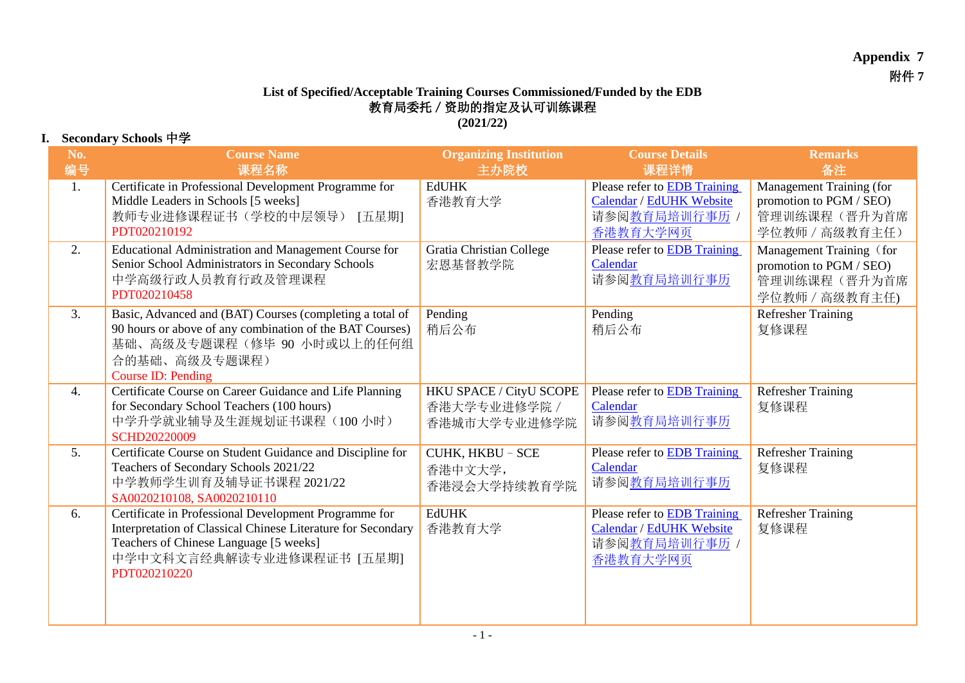## **Appendix 7** 附件 **7**

## **List of Specified/Acceptable Training Courses Commissioned/Funded by the EDB** 教育局委托/资助的指定及认可训练课程

**(2021/22)**

## **I. Secondary Schools** 中学

| No.<br>编号      | <b>Course Name</b><br>课程名称                                                                                                                                                                                   | <b>Organizing Institution</b><br>主办院校                   | <b>Course Details</b><br>课程详情                                                         | <b>Remarks</b><br>备注                                                                  |
|----------------|--------------------------------------------------------------------------------------------------------------------------------------------------------------------------------------------------------------|---------------------------------------------------------|---------------------------------------------------------------------------------------|---------------------------------------------------------------------------------------|
| 1.             | Certificate in Professional Development Programme for<br>Middle Leaders in Schools [5 weeks]<br>教师专业进修课程证书(学校的中层领导)<br>[五星期]<br>PDT020210192                                                                 | <b>EdUHK</b><br>香港教育大学                                  | Please refer to EDB Training<br>Calendar / EdUHK Website<br>请参阅教育局培训行事历 /<br>香港教育大学网页 | Management Training (for<br>promotion to PGM / SEO)<br>管理训练课程(晋升为首席<br>学位教师 / 高级教育主任) |
| 2.             | Educational Administration and Management Course for<br>Senior School Administrators in Secondary Schools<br>中学高级行政人员教育行政及管理课程<br>PDT020210458                                                               | <b>Gratia Christian College</b><br>宏恩基督教学院              | Please refer to EDB Training<br>Calendar<br>请参阅 <u>教育局培训行事历</u>                       | Management Training (for<br>promotion to PGM / SEO)<br>管理训练课程(晋升为首席<br>学位教师 / 高级教育主任) |
| 3.             | Basic, Advanced and (BAT) Courses (completing a total of<br>90 hours or above of any combination of the BAT Courses)<br>基础、高级及专题课程(修毕 90 小时或以上的任何组<br>合的基础、高级及专题课程)<br>Course ID: Pending                    | Pending<br>稍后公布                                         | Pending<br>稍后公布                                                                       | <b>Refresher Training</b><br>复修课程                                                     |
| 4.             | Certificate Course on Career Guidance and Life Planning<br>for Secondary School Teachers (100 hours)<br>中学升学就业辅导及生涯规划证书课程(100小时)<br><b>SCHD20220009</b>                                                      | HKU SPACE / CityU SCOPE<br>香港大学专业进修学院 /<br>香港城市大学专业进修学院 | Please refer to EDB Training<br>Calendar<br>请参阅 <u>教育局培训行事历</u>                       | <b>Refresher Training</b><br>复修课程                                                     |
| 5 <sub>1</sub> | Certificate Course on Student Guidance and Discipline for<br>Teachers of Secondary Schools 2021/22<br>中学教师学生训育及辅导证书课程 2021/22<br>SA0020210108, SA0020210110                                                  | CUHK, HKBU - SCE<br>香港中文大学,<br>香港浸会大学持续教育学院             | Please refer to <b>EDB</b> Training<br>Calendar<br>请参阅 <u>教育局培训行事历</u>                | <b>Refresher Training</b><br>复修课程                                                     |
| 6.             | Certificate in Professional Development Programme for<br>Interpretation of Classical Chinese Literature for Secondary<br>Teachers of Chinese Language [5 weeks]<br>中学中文科文言经典解读专业进修课程证书 [五星期]<br>PDT020210220 | <b>EdUHK</b><br>香港教育大学                                  | Please refer to EDB Training<br>Calendar / EdUHK Website<br>请参阅教育局培训行事历 /<br>香港教育大学网页 | <b>Refresher Training</b><br>复修课程                                                     |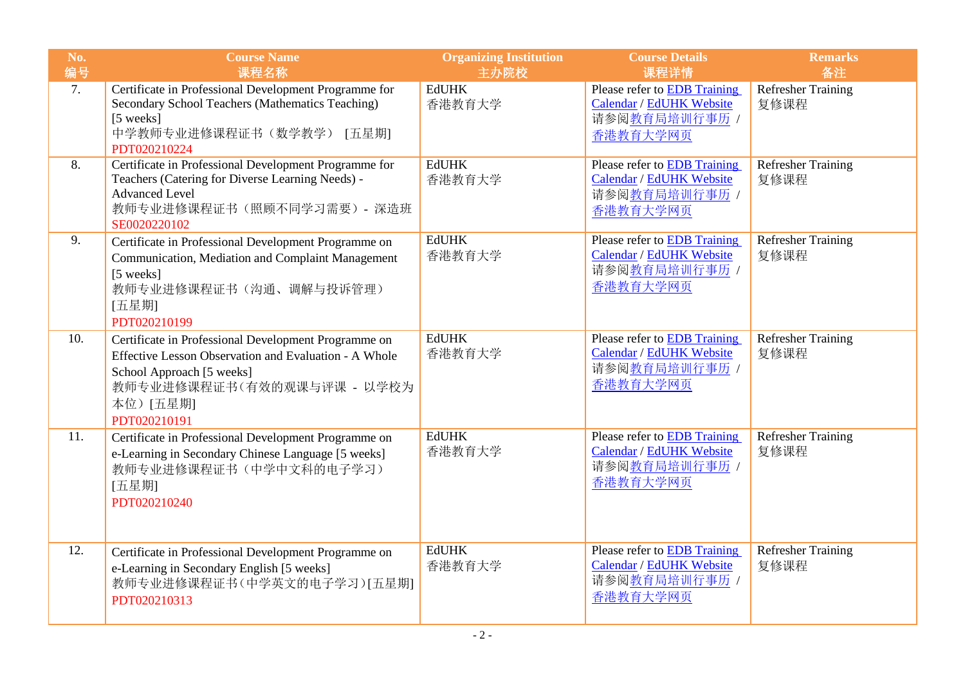| No.<br>编号 | <b>Course Name</b><br>课程名称                                                                                                                                                                           | <b>Organizing Institution</b><br>主办院校 | <b>Course Details</b><br>课程详情                                                                       | <b>Remarks</b><br>备注              |
|-----------|------------------------------------------------------------------------------------------------------------------------------------------------------------------------------------------------------|---------------------------------------|-----------------------------------------------------------------------------------------------------|-----------------------------------|
| 7.        | Certificate in Professional Development Programme for<br>Secondary School Teachers (Mathematics Teaching)<br>[5 weeks]<br>中学教师专业进修课程证书(数学教学) [五星期]<br>PDT020210224                                   | <b>EdUHK</b><br>香港教育大学                | Please refer to <b>EDB</b> Training<br>Calendar / EdUHK Website<br>请参阅教育局培训行事历 /<br>香港教育大学网页        | <b>Refresher Training</b><br>复修课程 |
| 8.        | Certificate in Professional Development Programme for<br>Teachers (Catering for Diverse Learning Needs) -<br><b>Advanced Level</b><br>教师专业进修课程证书(照顾不同学习需要) - 深造班<br>SE0020220102                     | <b>EdUHK</b><br>香港教育大学                | Please refer to EDB Training<br>Calendar / EdUHK Website<br>请参阅教育局培训行事历 /<br>香港教育大学网页               | <b>Refresher Training</b><br>复修课程 |
| 9.        | Certificate in Professional Development Programme on<br>Communication, Mediation and Complaint Management<br>[5 weeks]<br>教师专业进修课程证书(沟通、调解与投诉管理)<br>[五星期]<br>PDT020210199                            | <b>EdUHK</b><br>香港教育大学                | Please refer to <b>EDB</b> Training<br>Calendar / EdUHK Website<br>请参阅教育局培训行事历 /<br>香港教育大学网页        | <b>Refresher Training</b><br>复修课程 |
| 10.       | Certificate in Professional Development Programme on<br>Effective Lesson Observation and Evaluation - A Whole<br>School Approach [5 weeks]<br>教师专业进修课程证书(有效的观课与评课 - 以学校为<br>本位)[五星期]<br>PDT020210191 | <b>EdUHK</b><br>香港教育大学                | <b>Please refer to EDB Training</b><br><b>Calendar / EdUHK Website</b><br>请参阅教育局培训行事历 /<br>香港教育大学网页 | <b>Refresher Training</b><br>复修课程 |
| 11.       | Certificate in Professional Development Programme on<br>e-Learning in Secondary Chinese Language [5 weeks]<br>教师专业进修课程证书(中学中文科的电子学习)<br>[五星期]<br>PDT020210240                                        | <b>EdUHK</b><br>香港教育大学                | Please refer to EDB Training<br>Calendar / EdUHK Website<br>请参阅教育局培训行事历 /<br>香港教育大学网页               | <b>Refresher Training</b><br>复修课程 |
| 12.       | Certificate in Professional Development Programme on<br>e-Learning in Secondary English [5 weeks]<br>教师专业进修课程证书(中学英文的电子学习)[五星期]<br>PDT020210313                                                      | <b>EdUHK</b><br>香港教育大学                | Please refer to EDB Training<br>Calendar / EdUHK Website<br>请参阅教育局培训行事历 /<br>香港教育大学网页               | <b>Refresher Training</b><br>复修课程 |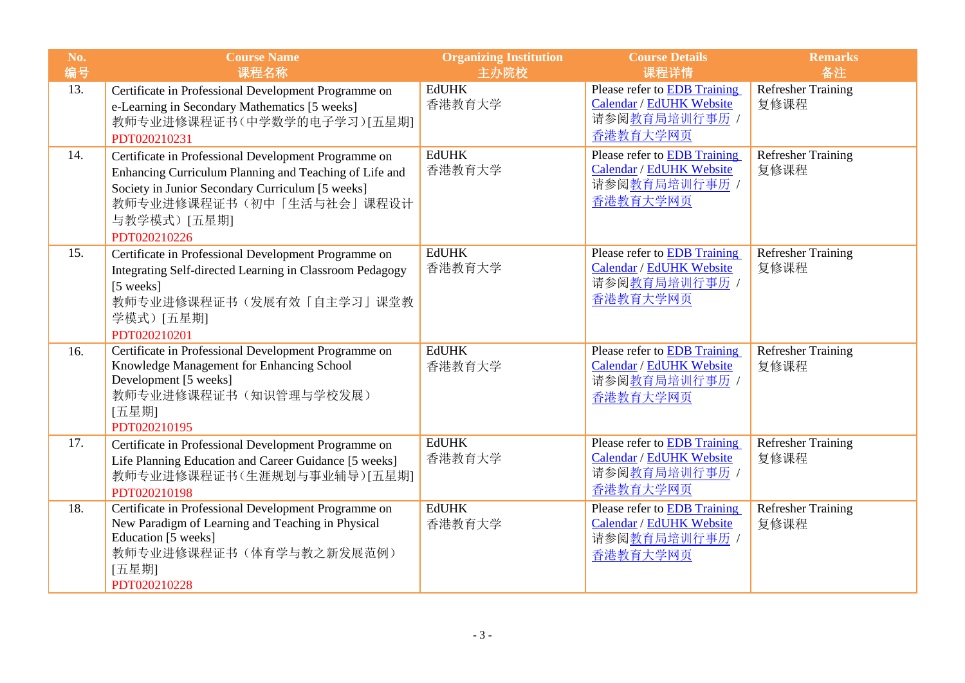| No.<br>编号 | <b>Course Name</b><br>课程名称                                                                                                                                                                                                     | <b>Organizing Institution</b><br>主办院校 | <b>Course Details</b><br>课程详情                                                                | <b>Remarks</b><br>备注              |
|-----------|--------------------------------------------------------------------------------------------------------------------------------------------------------------------------------------------------------------------------------|---------------------------------------|----------------------------------------------------------------------------------------------|-----------------------------------|
| 13.       | Certificate in Professional Development Programme on<br>e-Learning in Secondary Mathematics [5 weeks]<br>教师专业进修课程证书(中学数学的电子学习)[五星期]<br>PDT020210231                                                                            | <b>EdUHK</b><br>香港教育大学                | Please refer to EDB Training<br>Calendar / EdUHK Website<br>请参阅教育局培训行事历 /<br>香港教育大学网页        | <b>Refresher Training</b><br>复修课程 |
| 14.       | Certificate in Professional Development Programme on<br>Enhancing Curriculum Planning and Teaching of Life and<br>Society in Junior Secondary Curriculum [5 weeks]<br>教师专业进修课程证书(初中「生活与社会」课程设计<br>与教学模式) [五星期]<br>PDT020210226 | <b>EdUHK</b><br>香港教育大学                | Please refer to <b>EDB</b> Training<br>Calendar / EdUHK Website<br>请参阅教育局培训行事历 /<br>香港教育大学网页 | <b>Refresher Training</b><br>复修课程 |
| 15.       | Certificate in Professional Development Programme on<br>Integrating Self-directed Learning in Classroom Pedagogy<br>[5 weeks]<br>教师专业进修课程证书(发展有效「自主学习」课堂教<br>学模式)[五星期]<br>PDT020210201                                         | <b>EdUHK</b><br>香港教育大学                | Please refer to EDB Training<br>Calendar / EdUHK Website<br>请参阅教育局培训行事历 /<br>香港教育大学网页        | <b>Refresher Training</b><br>复修课程 |
| 16.       | Certificate in Professional Development Programme on<br>Knowledge Management for Enhancing School<br>Development [5 weeks]<br>教师专业进修课程证书(知识管理与学校发展)<br>[五星期]<br>PDT020210195                                                   | <b>EdUHK</b><br>香港教育大学                | Please refer to EDB Training<br>Calendar / EdUHK Website<br>请参阅教育局培训行事历 /<br>香港教育大学网页        | Refresher Training<br>复修课程        |
| 17.       | Certificate in Professional Development Programme on<br>Life Planning Education and Career Guidance [5 weeks]<br>教师专业进修课程证书(生涯规划与事业辅导)[五星期]<br>PDT020210198                                                                    | <b>EdUHK</b><br>香港教育大学                | Please refer to EDB Training<br>Calendar / EdUHK Website<br>请参阅教育局培训行事历 /<br>香港教育大学网页        | <b>Refresher Training</b><br>复修课程 |
| 18.       | Certificate in Professional Development Programme on<br>New Paradigm of Learning and Teaching in Physical<br>Education [5 weeks]<br>教师专业进修课程证书(体育学与教之新发展范例)<br>[五星期]<br>PDT020210228                                           | <b>EdUHK</b><br>香港教育大学                | Please refer to EDB Training<br>Calendar / EdUHK Website<br>请参阅教育局培训行事历 /<br>香港教育大学网页        | <b>Refresher Training</b><br>复修课程 |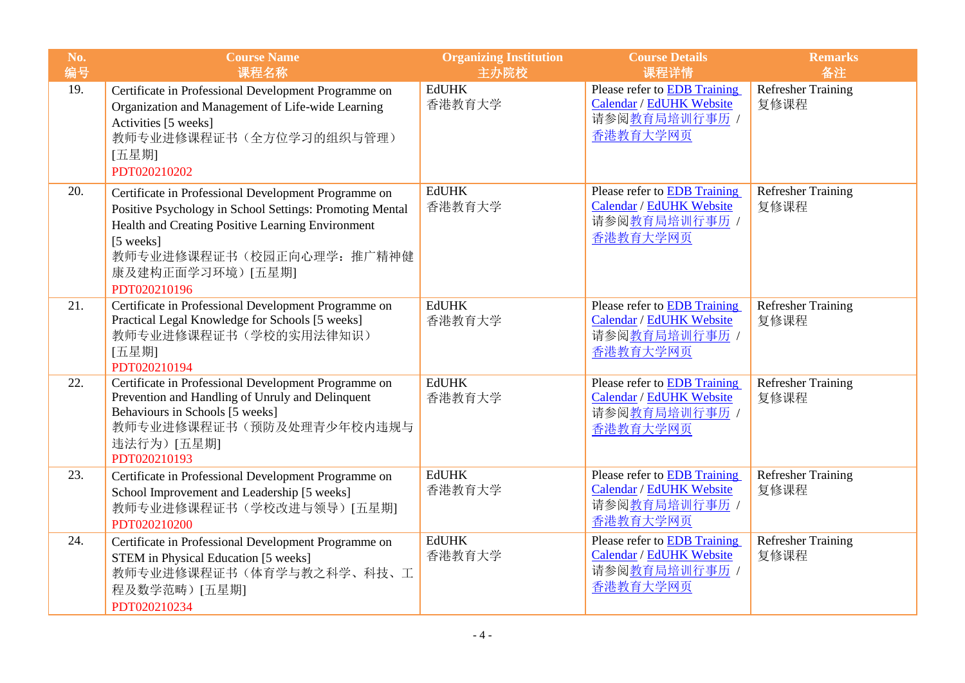| No.<br>编号 | <b>Course Name</b><br>课程名称                                                                                                                                                                                                                          | <b>Organizing Institution</b><br>主办院校 | <b>Course Details</b><br>课程详情                                                                | <b>Remarks</b><br>备注              |
|-----------|-----------------------------------------------------------------------------------------------------------------------------------------------------------------------------------------------------------------------------------------------------|---------------------------------------|----------------------------------------------------------------------------------------------|-----------------------------------|
| 19.       | Certificate in Professional Development Programme on<br>Organization and Management of Life-wide Learning<br>Activities [5 weeks]<br>教师专业进修课程证书(全方位学习的组织与管理)<br>[五星期]<br>PDT020210202                                                               | <b>EdUHK</b><br>香港教育大学                | Please refer to EDB Training<br>Calendar / EdUHK Website<br>请参阅教育局培训行事历 /<br>香港教育大学网页        | <b>Refresher Training</b><br>复修课程 |
| 20.       | Certificate in Professional Development Programme on<br>Positive Psychology in School Settings: Promoting Mental<br>Health and Creating Positive Learning Environment<br>[5 weeks]<br>教师专业进修课程证书(校园正向心理学: 推广精神健<br>康及建构正面学习环境)[五星期]<br>PDT020210196 | <b>EdUHK</b><br>香港教育大学                | Please refer to EDB Training<br>Calendar / EdUHK Website<br>请参阅教育局培训行事历 /<br>香港教育大学网页        | <b>Refresher Training</b><br>复修课程 |
| 21.       | Certificate in Professional Development Programme on<br>Practical Legal Knowledge for Schools [5 weeks]<br>教师专业进修课程证书(学校的实用法律知识)<br>[五星期]<br>PDT020210194                                                                                           | <b>EdUHK</b><br>香港教育大学                | Please refer to EDB Training<br>Calendar / EdUHK Website<br>请参阅教育局培训行事历 /<br>香港教育大学网页        | <b>Refresher Training</b><br>复修课程 |
| 22.       | Certificate in Professional Development Programme on<br>Prevention and Handling of Unruly and Delinquent<br>Behaviours in Schools [5 weeks]<br>教师专业进修课程证书(预防及处理青少年校内违规与<br>违法行为) [五星期]<br>PDT020210193                                              | <b>EdUHK</b><br>香港教育大学                | Please refer to <b>EDB</b> Training<br>Calendar / EdUHK Website<br>请参阅教育局培训行事历 /<br>香港教育大学网页 | <b>Refresher Training</b><br>复修课程 |
| 23.       | Certificate in Professional Development Programme on<br>School Improvement and Leadership [5 weeks]<br>教师专业进修课程证书(学校改进与领导)[五星期]<br>PDT020210200                                                                                                     | <b>EdUHK</b><br>香港教育大学                | Please refer to <b>EDB</b> Training<br>Calendar / EdUHK Website<br>请参阅教育局培训行事历 /<br>香港教育大学网页 | <b>Refresher Training</b><br>复修课程 |
| 24.       | Certificate in Professional Development Programme on<br>STEM in Physical Education [5 weeks]<br>教师专业进修课程证书(体育学与教之科学、科技、工<br>程及数学范畴)[五星期]<br>PDT020210234                                                                                            | <b>EdUHK</b><br>香港教育大学                | Please refer to <b>EDB</b> Training<br>Calendar / EdUHK Website<br>请参阅教育局培训行事历 /<br>香港教育大学网页 | <b>Refresher Training</b><br>复修课程 |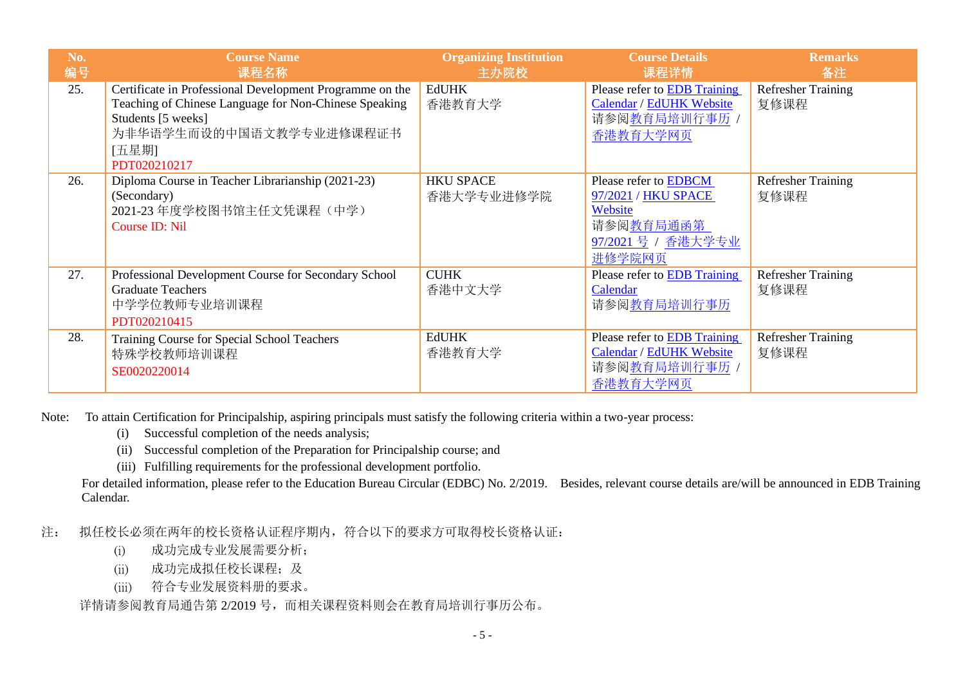| No.<br>编号 | <b>Course Name</b><br>课程名称                                                                                                                                                                  | <b>Organizing Institution</b><br>主办院校 | <b>Course Details</b><br>课程详情                                                                        | <b>Remarks</b><br>备注              |
|-----------|---------------------------------------------------------------------------------------------------------------------------------------------------------------------------------------------|---------------------------------------|------------------------------------------------------------------------------------------------------|-----------------------------------|
| 25.       | Certificate in Professional Development Programme on the<br>Teaching of Chinese Language for Non-Chinese Speaking<br>Students [5 weeks]<br>为非华语学生而设的中国语文教学专业进修课程证书<br>[五星期]<br>PDT020210217 | <b>EdUHK</b><br>香港教育大学                | Please refer to EDB Training<br>Calendar / EdUHK Website<br>请参阅教育局培训行事历 /<br>香港教育大学网页                | <b>Refresher Training</b><br>复修课程 |
| 26.       | Diploma Course in Teacher Librarianship (2021-23)<br>(Secondary)<br>2021-23 年度学校图书馆主任文凭课程(中学)<br>Course ID: Nil                                                                             | <b>HKU SPACE</b><br>香港大学专业进修学院        | Please refer to EDBCM<br>97/2021 / HKU SPACE<br>Website<br>请参阅教育局通函第<br>97/2021 号 / 香港大学专业<br>进修学院网页 | <b>Refresher Training</b><br>复修课程 |
| 27.       | Professional Development Course for Secondary School<br><b>Graduate Teachers</b><br>中学学位教师专业培训课程<br>PDT020210415                                                                            | <b>CUHK</b><br>香港中文大学                 | Please refer to <b>EDB</b> Training<br>Calendar<br>请参阅教育局培训行事历                                       | <b>Refresher Training</b><br>复修课程 |
| 28.       | Training Course for Special School Teachers<br>特殊学校教师培训课程<br>SE0020220014                                                                                                                   | <b>EdUHK</b><br>香港教育大学                | Please refer to <b>EDB</b> Training<br>Calendar / EdUHK Website<br>请参阅教育局培训行事历 /<br>香港教育大学网页         | <b>Refresher Training</b><br>复修课程 |

Note: To attain Certification for Principalship, aspiring principals must satisfy the following criteria within a two-year process:

- (i) Successful completion of the needs analysis;
- (ii) Successful completion of the Preparation for Principalship course; and
- (iii) Fulfilling requirements for the professional development portfolio.

For detailed information, please refer to the Education Bureau Circular (EDBC) No. 2/2019. Besides, relevant course details are/will be announced in EDB Training Calendar.

注: 拟任校长必须在两年的校长资格认证程序期内,符合以下的要求方可取得校长资格认证:

- (i) 成功完成专业发展需要分析;
- (ii) 成功完成拟任校长课程;及
- (iii) 符合专业发展资料册的要求。

详情请参阅教育局通告第 2/2019 号,而相关课程资料则会在教育局培训行事历公布。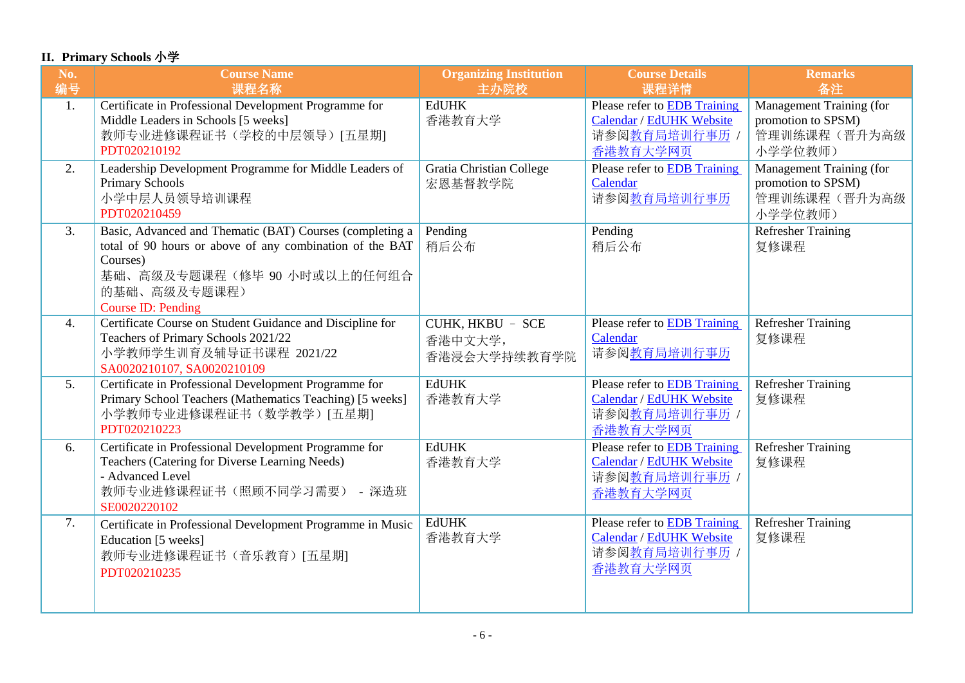## **II. Primary Schools** 小学

| No.<br>编号 | <b>Course Name</b><br>课程名称                                                                                                                                                                          | <b>Organizing Institution</b><br>主办院校       | <b>Course Details</b><br>课程详情                                                                       | <b>Remarks</b><br>备注                                                             |
|-----------|-----------------------------------------------------------------------------------------------------------------------------------------------------------------------------------------------------|---------------------------------------------|-----------------------------------------------------------------------------------------------------|----------------------------------------------------------------------------------|
| 1.        | Certificate in Professional Development Programme for<br>Middle Leaders in Schools [5 weeks]<br>教师专业进修课程证书(学校的中层领导)[五星期]<br>PDT020210192                                                            | <b>EdUHK</b><br>香港教育大学                      | Please refer to EDB Training<br>Calendar / EdUHK Website<br>请参阅教育局培训行事历<br>香港教育大学网页                 | Management Training (for<br>promotion to SPSM)<br>管理训练课程(晋升为高级<br>小学学位教师)        |
| 2.        | Leadership Development Programme for Middle Leaders of<br><b>Primary Schools</b><br>小学中层人员领导培训课程<br>PDT020210459                                                                                    | <b>Gratia Christian College</b><br>宏恩基督教学院  | Please refer to EDB Training<br>Calendar<br>请参阅教育局培训行事历                                             | <b>Management Training (for</b><br>promotion to SPSM)<br>管理训练课程(晋升为高级<br>小学学位教师) |
| 3.        | Basic, Advanced and Thematic (BAT) Courses (completing a<br>total of 90 hours or above of any combination of the BAT<br>Courses)<br>基础、高级及专题课程(修毕90小时或以上的任何组合<br>的基础、高级及专题课程)<br>Course ID: Pending | Pending<br>稍后公布                             | Pending<br>稍后公布                                                                                     | <b>Refresher Training</b><br>复修课程                                                |
| 4.        | Certificate Course on Student Guidance and Discipline for<br>Teachers of Primary Schools 2021/22<br>小学教师学生训育及辅导证书课程 2021/22<br>SA0020210107, SA0020210109                                           | CUHK, HKBU - SCE<br>香港中文大学,<br>香港浸会大学持续教育学院 | Please refer to <b>EDB</b> Training<br>Calendar<br>请参阅教育局培训行事历                                      | <b>Refresher Training</b><br>复修课程                                                |
| 5.        | Certificate in Professional Development Programme for<br>Primary School Teachers (Mathematics Teaching) [5 weeks]<br>小学教师专业进修课程证书(数学教学)[五星期]<br>PDT020210223                                        | <b>EdUHK</b><br>香港教育大学                      | Please refer to <b>EDB</b> Training<br>Calendar / EdUHK Website<br>请参阅教育局培训行事历 /<br>香港教育大学网页        | <b>Refresher Training</b><br>复修课程                                                |
| 6.        | Certificate in Professional Development Programme for<br>Teachers (Catering for Diverse Learning Needs)<br>- Advanced Level<br>教师专业进修课程证书(照顾不同学习需要) - 深造班<br>SE0020220102                           | <b>EdUHK</b><br>香港教育大学                      | Please refer to EDB Training<br>Calendar / EdUHK Website<br>请参阅教育局培训行事历 /<br>香港教育大学网页               | <b>Refresher Training</b><br>复修课程                                                |
| 7.        | Certificate in Professional Development Programme in Music<br>Education [5 weeks]<br>教师专业进修课程证书(音乐教育)[五星期]<br>PDT020210235                                                                          | <b>EdUHK</b><br>香港教育大学                      | Please refer to <b>EDB</b> Training<br><b>Calendar / EdUHK Website</b><br>请参阅教育局培训行事历 /<br>香港教育大学网页 | <b>Refresher Training</b><br>复修课程                                                |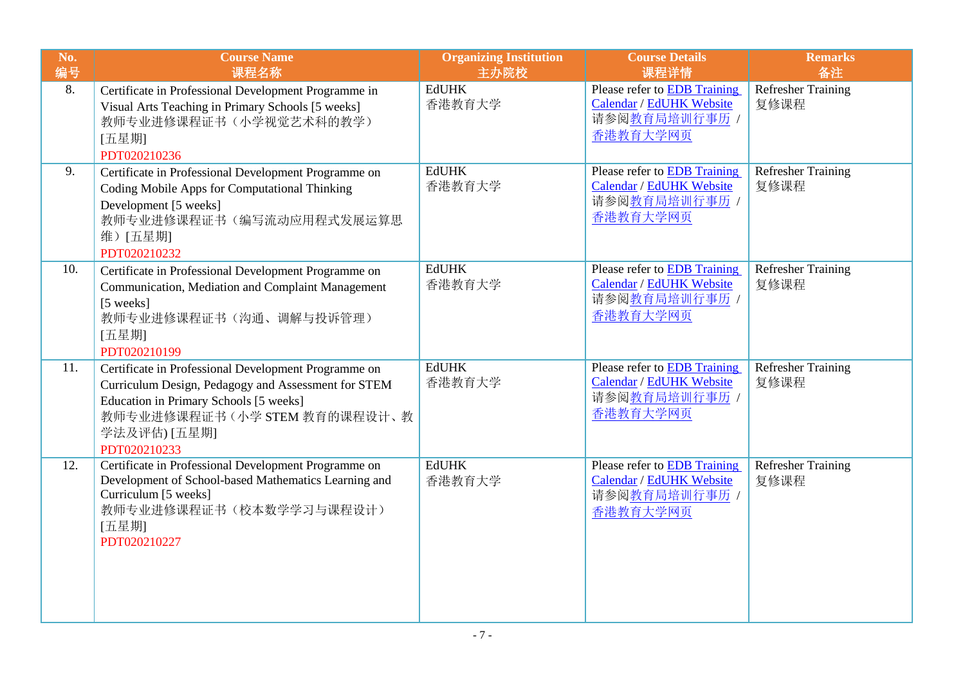| No.<br>编号 | <b>Course Name</b><br>课程名称                                                                                                                                                                                            | <b>Organizing Institution</b><br>主办院校 | <b>Course Details</b><br>课程详情                                                                | <b>Remarks</b><br>备注              |
|-----------|-----------------------------------------------------------------------------------------------------------------------------------------------------------------------------------------------------------------------|---------------------------------------|----------------------------------------------------------------------------------------------|-----------------------------------|
| 8.        | Certificate in Professional Development Programme in<br>Visual Arts Teaching in Primary Schools [5 weeks]<br>教师专业进修课程证书(小学视觉艺术科的教学)<br>[五星期]<br>PDT020210236                                                          | <b>EdUHK</b><br>香港教育大学                | Please refer to <b>EDB</b> Training<br>Calendar / EdUHK Website<br>请参阅教育局培训行事历 /<br>香港教育大学网页 | Refresher Training<br>复修课程        |
| 9.        | Certificate in Professional Development Programme on<br>Coding Mobile Apps for Computational Thinking<br>Development [5 weeks]<br>教师专业进修课程证书(编写流动应用程式发展运算思<br>维)[五星期]<br>PDT020210232                                 | <b>EdUHK</b><br>香港教育大学                | Please refer to EDB Training<br>Calendar / EdUHK Website<br>请参阅教育局培训行事历 /<br>香港教育大学网页        | <b>Refresher Training</b><br>复修课程 |
| 10.       | Certificate in Professional Development Programme on<br>Communication, Mediation and Complaint Management<br>[5 weeks]<br>教师专业进修课程证书(沟通、调解与投诉管理)<br>[五星期]<br>PDT020210199                                             | <b>EdUHK</b><br>香港教育大学                | <b>Please refer to EDB Training</b><br>Calendar / EdUHK Website<br>请参阅教育局培训行事历 /<br>香港教育大学网页 | <b>Refresher Training</b><br>复修课程 |
| 11.       | Certificate in Professional Development Programme on<br>Curriculum Design, Pedagogy and Assessment for STEM<br>Education in Primary Schools [5 weeks]<br>教师专业进修课程证书(小学 STEM 教育的课程设计、教<br>学法及评估) [五星期]<br>PDT020210233 | <b>EdUHK</b><br>香港教育大学                | Please refer to EDB Training<br>Calendar / EdUHK Website<br>请参阅教育局培训行事历 /<br>香港教育大学网页        | <b>Refresher Training</b><br>复修课程 |
| 12.       | Certificate in Professional Development Programme on<br>Development of School-based Mathematics Learning and<br>Curriculum [5 weeks]<br>教师专业进修课程证书(校本数学学习与课程设计)<br>[五星期]<br>PDT020210227                              | <b>EdUHK</b><br>香港教育大学                | Please refer to EDB Training<br>Calendar / EdUHK Website<br>请参阅教育局培训行事历 /<br>香港教育大学网页        | <b>Refresher Training</b><br>复修课程 |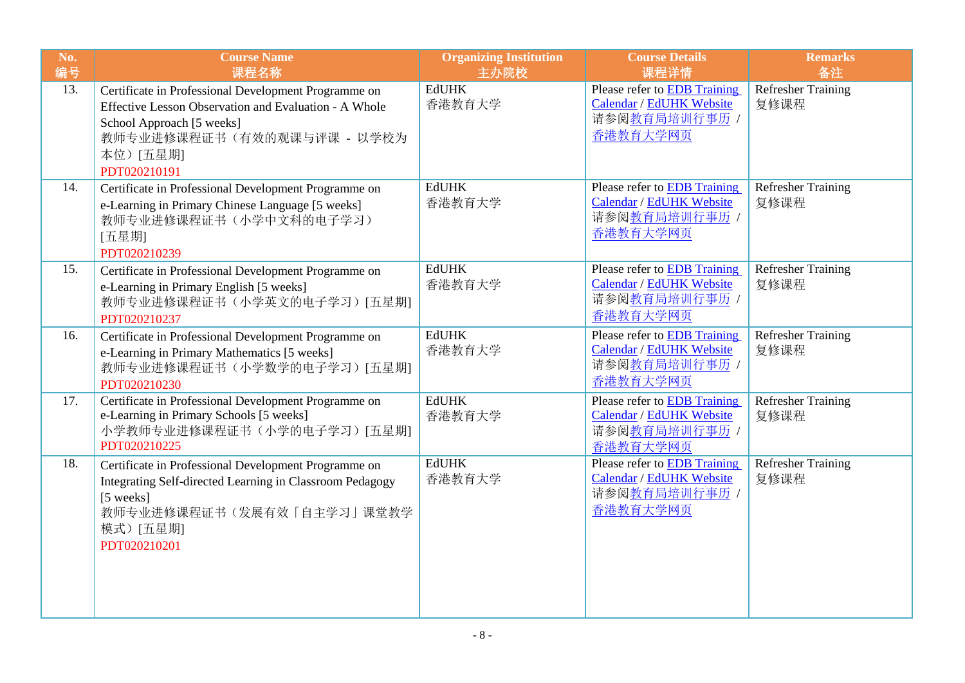| No.<br>编号 | <b>Course Name</b><br>课程名称                                                                                                                                                                           | <b>Organizing Institution</b><br>主办院校 | <b>Course Details</b><br>课程详情                                                                | <b>Remarks</b><br>备注              |
|-----------|------------------------------------------------------------------------------------------------------------------------------------------------------------------------------------------------------|---------------------------------------|----------------------------------------------------------------------------------------------|-----------------------------------|
| 13.       | Certificate in Professional Development Programme on<br>Effective Lesson Observation and Evaluation - A Whole<br>School Approach [5 weeks]<br>教师专业进修课程证书(有效的观课与评课 - 以学校为<br>本位)[五星期]<br>PDT020210191 | <b>EdUHK</b><br>香港教育大学                | Please refer to EDB Training<br>Calendar / EdUHK Website<br>请参阅教育局培训行事历 /<br>香港教育大学网页        | <b>Refresher Training</b><br>复修课程 |
| 14.       | Certificate in Professional Development Programme on<br>e-Learning in Primary Chinese Language [5 weeks]<br>教师专业进修课程证书(小学中文科的电子学习)<br>[五星期]<br>PDT020210239                                          | <b>EdUHK</b><br>香港教育大学                | Please refer to <b>EDB</b> Training<br>Calendar / EdUHK Website<br>请参阅教育局培训行事历 /<br>香港教育大学网页 | <b>Refresher Training</b><br>复修课程 |
| 15.       | Certificate in Professional Development Programme on<br>e-Learning in Primary English [5 weeks]<br>教师专业进修课程证书(小学英文的电子学习)[五星期]<br>PDT020210237                                                        | <b>EdUHK</b><br>香港教育大学                | Please refer to <b>EDB</b> Training<br>Calendar / EdUHK Website<br>请参阅教育局培训行事历 /<br>香港教育大学网页 | <b>Refresher Training</b><br>复修课程 |
| 16.       | Certificate in Professional Development Programme on<br>e-Learning in Primary Mathematics [5 weeks]<br>教师专业进修课程证书(小学数学的电子学习)[五星期]<br>PDT020210230                                                    | <b>EdUHK</b><br>香港教育大学                | Please refer to EDB Training<br>Calendar / EdUHK Website<br>请参阅教育局培训行事历 /<br>香港教育大学网页        | <b>Refresher Training</b><br>复修课程 |
| 17.       | Certificate in Professional Development Programme on<br>e-Learning in Primary Schools [5 weeks]<br>小学教师专业进修课程证书(小学的电子学习)[五星期]<br>PDT020210225                                                        | <b>EdUHK</b><br>香港教育大学                | Please refer to EDB Training<br>Calendar / EdUHK Website<br>请参阅教育局培训行事历 /<br>香港教育大学网页        | Refresher Training<br>复修课程        |
| 18.       | Certificate in Professional Development Programme on<br>Integrating Self-directed Learning in Classroom Pedagogy<br>[5 weeks]<br>教师专业进修课程证书(发展有效「自主学习」课堂教学<br>模式) [五星期]<br>PDT020210201              | <b>EdUHK</b><br>香港教育大学                | Please refer to EDB Training<br>Calendar / EdUHK Website<br>请参阅教育局培训行事历 /<br>香港教育大学网页        | <b>Refresher Training</b><br>复修课程 |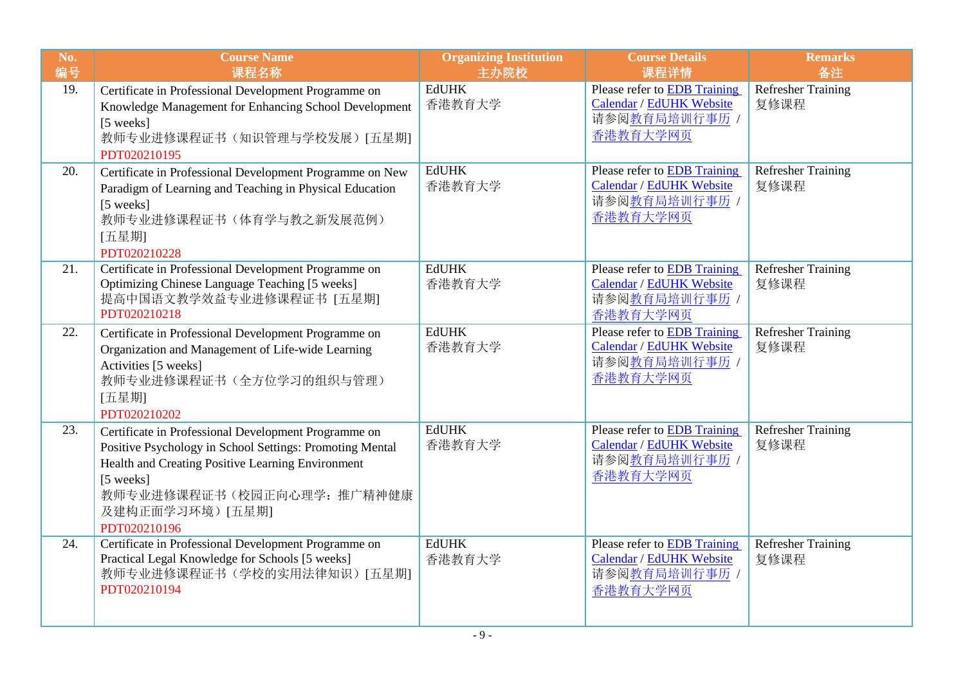| No.<br>编号 | <b>Course Name</b><br>课程名称                                                                                                                                                                                                                          | <b>Organizing Institution</b><br>主办院校 | <b>Course Details</b><br>课程详情                                                                        | <b>Remarks</b><br>备注              |
|-----------|-----------------------------------------------------------------------------------------------------------------------------------------------------------------------------------------------------------------------------------------------------|---------------------------------------|------------------------------------------------------------------------------------------------------|-----------------------------------|
| 19.       | Certificate in Professional Development Programme on<br>Knowledge Management for Enhancing School Development<br>[5 weeks]<br>教师专业进修课程证书(知识管理与学校发展)[五星期]<br>PDT020210195                                                                            | <b>EdUHK</b><br>香港教育大学                | Please refer to EDB Training<br>Calendar / EdUHK Website<br>请参阅 <u>教育局培训行事历</u> /<br>香港教育大学网页        | <b>Refresher Training</b><br>复修课程 |
| 20.       | Certificate in Professional Development Programme on New<br>Paradigm of Learning and Teaching in Physical Education<br>[5 weeks]<br>教师专业进修课程证书(体育学与教之新发展范例)<br>[五星期]<br>PDT020210228                                                                | <b>EdUHK</b><br>香港教育大学                | Please refer to <b>EDB</b> Training<br>Calendar / EdUHK Website<br>请参阅 <u>教育局培训行事历</u> /<br>香港教育大学网页 | <b>Refresher Training</b><br>复修课程 |
| 21.       | Certificate in Professional Development Programme on<br>Optimizing Chinese Language Teaching [5 weeks]<br>提高中国语文教学效益专业进修课程证书 [五星期]<br>PDT020210218                                                                                                  | <b>EdUHK</b><br>香港教育大学                | Please refer to <b>EDB</b> Training<br>Calendar / EdUHK Website<br>请参阅教育局培训行事历 /<br>香港教育大学网页         | <b>Refresher Training</b><br>复修课程 |
| 22.       | Certificate in Professional Development Programme on<br>Organization and Management of Life-wide Learning<br>Activities [5 weeks]<br>教师专业进修课程证书(全方位学习的组织与管理)<br>[五星期]<br>PDT020210202                                                               | <b>EdUHK</b><br>香港教育大学                | Please refer to EDB Training<br>Calendar / EdUHK Website<br>请参阅教育局培训行事历 /<br>香港教育大学网页                | <b>Refresher Training</b><br>复修课程 |
| 23.       | Certificate in Professional Development Programme on<br>Positive Psychology in School Settings: Promoting Mental<br>Health and Creating Positive Learning Environment<br>[5 weeks]<br>教师专业进修课程证书(校园正向心理学: 推广精神健康<br>及建构正面学习环境)[五星期]<br>PDT020210196 | <b>EdUHK</b><br>香港教育大学                | Please refer to EDB Training<br>Calendar / EdUHK Website<br>请参阅教育局培训行事历 /<br>香港教育大学网页                | <b>Refresher Training</b><br>复修课程 |
| 24.       | Certificate in Professional Development Programme on<br>Practical Legal Knowledge for Schools [5 weeks]<br>教师专业进修课程证书(学校的实用法律知识)[五星期]<br>PDT020210194                                                                                               | <b>EdUHK</b><br>香港教育大学                | Please refer to EDB Training<br>Calendar / EdUHK Website<br>请参阅教育局培训行事历 /<br>香港教育大学网页                | <b>Refresher Training</b><br>复修课程 |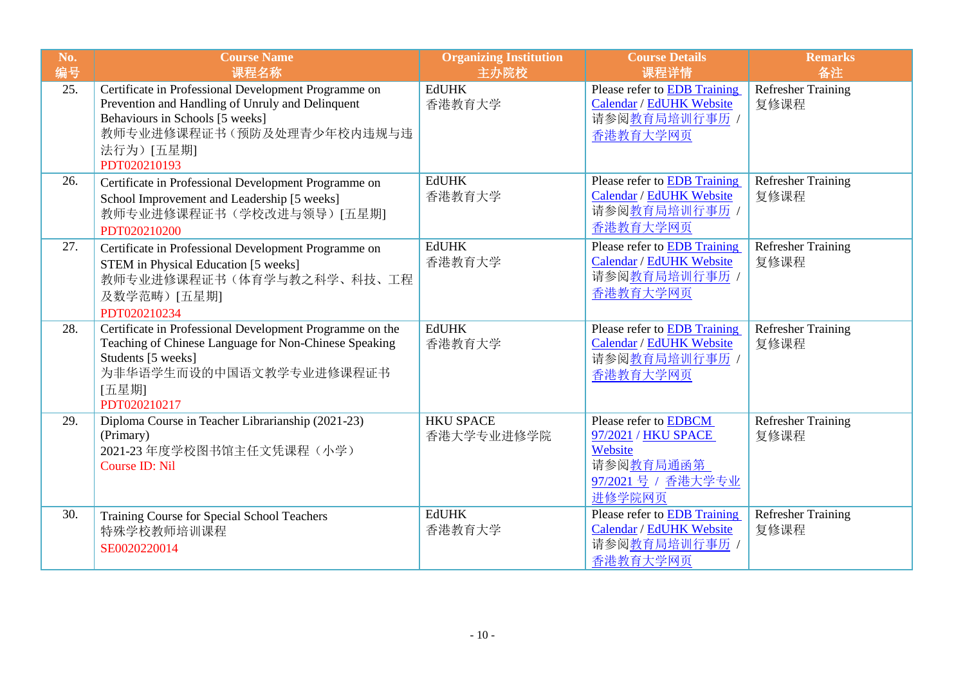| No.<br>编号 | <b>Course Name</b><br>课程名称                                                                                                                                                                            | <b>Organizing Institution</b><br>主办院校 | <b>Course Details</b><br>课程详情                                                                        | <b>Remarks</b><br>备注              |
|-----------|-------------------------------------------------------------------------------------------------------------------------------------------------------------------------------------------------------|---------------------------------------|------------------------------------------------------------------------------------------------------|-----------------------------------|
| 25.       | Certificate in Professional Development Programme on<br>Prevention and Handling of Unruly and Delinquent<br>Behaviours in Schools [5 weeks]<br>教师专业进修课程证书(预防及处理青少年校内违规与违<br>法行为)[五星期]<br>PDT020210193 | <b>EdUHK</b><br>香港教育大学                | Please refer to EDB Training<br>Calendar / EdUHK Website<br>请参阅教育局培训行事历 /<br>香港教育大学网页                | <b>Refresher Training</b><br>复修课程 |
| 26.       | Certificate in Professional Development Programme on<br>School Improvement and Leadership [5 weeks]<br>教师专业进修课程证书(学校改进与领导)[五星期]<br>PDT020210200                                                       | <b>EdUHK</b><br>香港教育大学                | Please refer to EDB Training<br>Calendar / EdUHK Website<br>请参阅教育局培训行事历 /<br>香港教育大学网页                | <b>Refresher Training</b><br>复修课程 |
| 27.       | Certificate in Professional Development Programme on<br>STEM in Physical Education [5 weeks]<br>教师专业进修课程证书(体育学与教之科学、科技、工程<br>及数学范畴) [五星期]<br>PDT020210234                                             | <b>EdUHK</b><br>香港教育大学                | Please refer to EDB Training<br>Calendar / EdUHK Website<br>请参阅教育局培训行事历 /<br>香港教育大学网页                | <b>Refresher Training</b><br>复修课程 |
| 28.       | Certificate in Professional Development Programme on the<br>Teaching of Chinese Language for Non-Chinese Speaking<br>Students [5 weeks]<br>为非华语学生而设的中国语文教学专业进修课程证书<br>[五星期]<br>PDT020210217           | <b>EdUHK</b><br>香港教育大学                | Please refer to EDB Training<br>Calendar / EdUHK Website<br>请参阅教育局培训行事历 /<br>香港教育大学网页                | <b>Refresher Training</b><br>复修课程 |
| 29.       | Diploma Course in Teacher Librarianship (2021-23)<br>(Primary)<br>2021-23 年度学校图书馆主任文凭课程(小学)<br>Course ID: Nil                                                                                         | <b>HKU SPACE</b><br>香港大学专业进修学院        | Please refer to EDBCM<br>97/2021 / HKU SPACE<br>Website<br>请参阅教育局通函第<br>97/2021 号 / 香港大学专业<br>进修学院网页 | Refresher Training<br>复修课程        |
| 30.       | Training Course for Special School Teachers<br>特殊学校教师培训课程<br>SE0020220014                                                                                                                             | <b>EdUHK</b><br>香港教育大学                | Please refer to EDB Training<br>Calendar / EdUHK Website<br>请参阅 <u>教育局培训行事历</u> /<br>香港教育大学网页        | <b>Refresher Training</b><br>复修课程 |